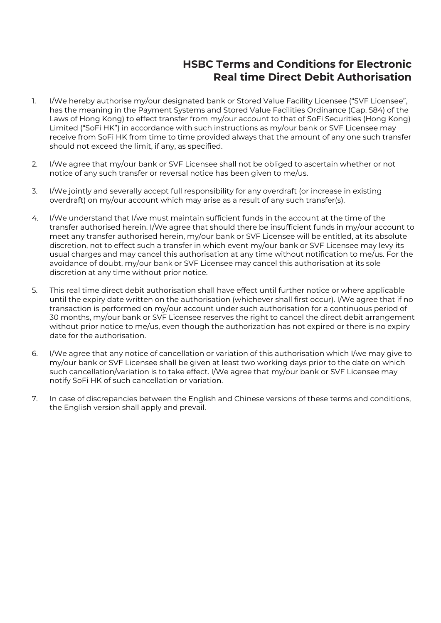## **HSBC Terms and Conditions for Electronic Real time Direct Debit Authorisation**

- 1. I/We hereby authorise my/our designated bank or Stored Value Facility Licensee ("SVF Licensee", has the meaning in the Payment Systems and Stored Value Facilities Ordinance (Cap. 584) of the Laws of Hong Kong) to effect transfer from my/our account to that of SoFi Securities (Hong Kong) Limited ("SoFi HK") in accordance with such instructions as my/our bank or SVF Licensee may receive from SoFi HK from time to time provided always that the amount of any one such transfer should not exceed the limit, if any, as specified.
- 2. I/We agree that my/our bank or SVF Licensee shall not be obliged to ascertain whether or not notice of any such transfer or reversal notice has been given to me/us.
- 3. I/We jointly and severally accept full responsibility for any overdraft (or increase in existing overdraft) on my/our account which may arise as a result of any such transfer(s).
- 4. I/We understand that I/we must maintain sufficient funds in the account at the time of the transfer authorised herein. I/We agree that should there be insufficient funds in my/our account to meet any transfer authorised herein, my/our bank or SVF Licensee will be entitled, at its absolute discretion, not to effect such a transfer in which event my/our bank or SVF Licensee may levy its usual charges and may cancel this authorisation at any time without notification to me/us. For the avoidance of doubt, my/our bank or SVF Licensee may cancel this authorisation at its sole discretion at any time without prior notice.
- 5. This real time direct debit authorisation shall have effect until further notice or where applicable until the expiry date written on the authorisation (whichever shall first occur). I/We agree that if no transaction is performed on my/our account under such authorisation for a continuous period of 30 months, my/our bank or SVF Licensee reserves the right to cancel the direct debit arrangement without prior notice to me/us, even though the authorization has not expired or there is no expiry date for the authorisation.
- 6. I/We agree that any notice of cancellation or variation of this authorisation which I/we may give to my/our bank or SVF Licensee shall be given at least two working days prior to the date on which such cancellation/variation is to take effect. I/We agree that my/our bank or SVF Licensee may notify SoFi HK of such cancellation or variation.
- 7. In case of discrepancies between the English and Chinese versions of these terms and conditions, the English version shall apply and prevail.